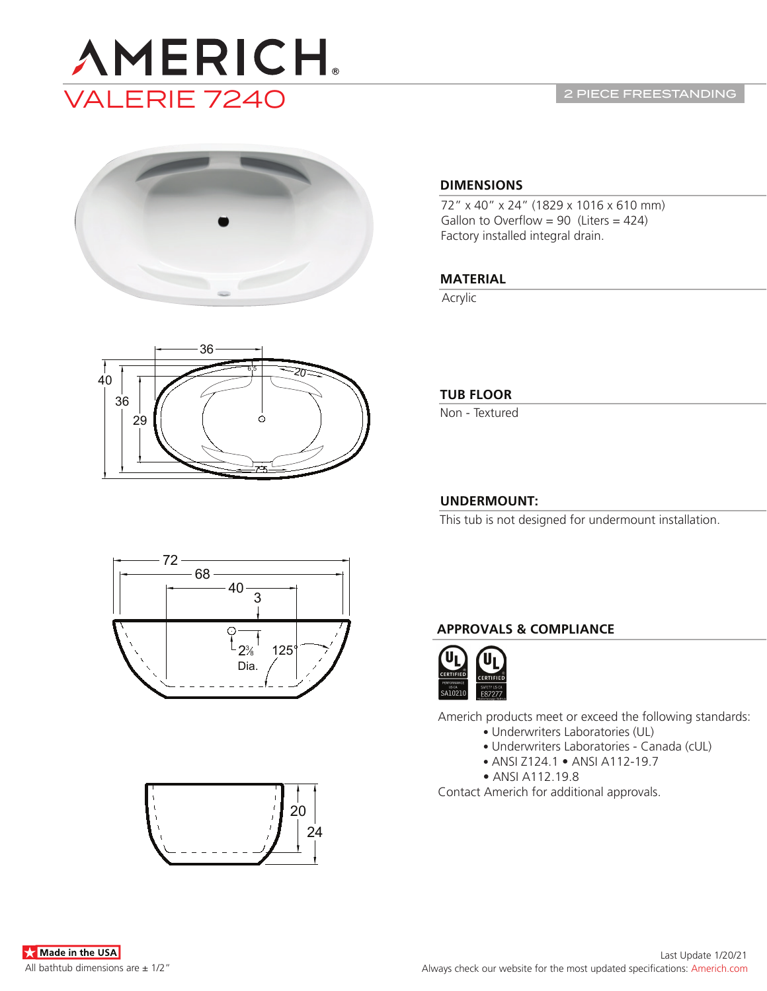

2 PIECE FREESTANDING



# 40 36 29 36 2त 7.5 6.5

## **DIMENSIONS**

72" x 40" x 24" (1829 x 1016 x 610 mm) Gallon to Overflow = 90 (Liters =  $424$ ) Factory installed integral drain.

# **MATERIAL**

Acrylic

# **TUB FLOOR**

Non - Textured

# **UNDERMOUNT:**

This tub is not designed for undermount installation.



# **APPROVALS & COMPLIANCE**



Americh products meet or exceed the following standards:

- Underwriters Laboratories (UL)
- Underwriters Laboratories Canada (cUL)
- ANSI Z124.1 ANSI A112-19.7
- ANSI A112.19.8

Contact Americh for additional approvals.